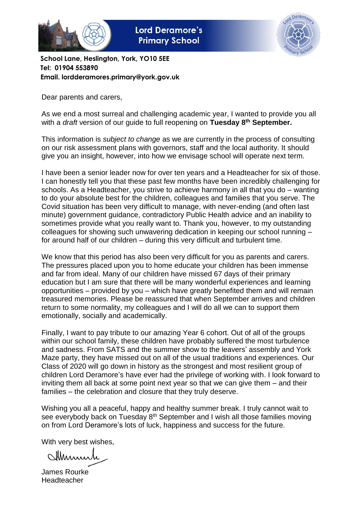

**Lord Deramore's Primary School** 



**School Lane, Heslington, York, YO10 5EE Tel: 01904 553890 Email. lordderamores.primary@york.gov.uk**

Dear parents and carers,

As we end a most surreal and challenging academic year, I wanted to provide you all with a *draft* version of our guide to full reopening on **Tuesday 8th September.** 

This information is *subject to change* as we are currently in the process of consulting on our risk assessment plans with governors, staff and the local authority. It should give you an insight, however, into how we envisage school will operate next term.

I have been a senior leader now for over ten years and a Headteacher for six of those. I can honestly tell you that these past few months have been incredibly challenging for schools. As a Headteacher, you strive to achieve harmony in all that you do – wanting to do your absolute best for the children, colleagues and families that you serve. The Covid situation has been very difficult to manage, with never-ending (and often last minute) government guidance, contradictory Public Health advice and an inability to sometimes provide what you really want to. Thank you, however, to my outstanding colleagues for showing such unwavering dedication in keeping our school running – for around half of our children – during this very difficult and turbulent time.

We know that this period has also been very difficult for you as parents and carers. The pressures placed upon you to home educate your children has been immense and far from ideal. Many of our children have missed 67 days of their primary education but I am sure that there will be many wonderful experiences and learning opportunities – provided by you – which have greatly benefited them and will remain treasured memories. Please be reassured that when September arrives and children return to some normality, my colleagues and I will do all we can to support them emotionally, socially and academically.

Finally, I want to pay tribute to our amazing Year 6 cohort. Out of all of the groups within our school family, these children have probably suffered the most turbulence and sadness. From SATS and the summer show to the leavers' assembly and York Maze party, they have missed out on all of the usual traditions and experiences. Our Class of 2020 will go down in history as the strongest and most resilient group of children Lord Deramore's have ever had the privilege of working with. I look forward to inviting them all back at some point next year so that we can give them – and their families – the celebration and closure that they truly deserve.

Wishing you all a peaceful, happy and healthy summer break. I truly cannot wait to see everybody back on Tuesday 8<sup>th</sup> September and I wish all those families moving on from Lord Deramore's lots of luck, happiness and success for the future.

With very best wishes,

Marmir

James Rourke Headteacher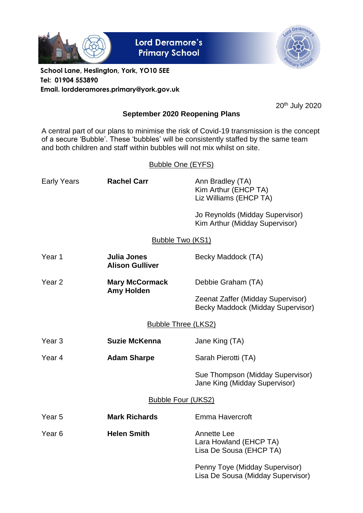

**Lord Deramore's Primary School** 



**School Lane, Heslington, York, YO10 5EE Tel: 01904 553890 Email. lordderamores.primary@york.gov.uk**

20th July 2020

### **September 2020 Reopening Plans**

A central part of our plans to minimise the risk of Covid-19 transmission is the concept of a secure 'Bubble'. These 'bubbles' will be consistently staffed by the same team and both children and staff within bubbles will not mix whilst on site.

# Bubble One (EYFS)

| Early Years                | <b>Rachel Carr</b>                    | Ann Bradley (TA)<br>Kim Arthur (EHCP TA)<br>Liz Williams (EHCP TA)     |  |  |  |
|----------------------------|---------------------------------------|------------------------------------------------------------------------|--|--|--|
|                            |                                       | Jo Reynolds (Midday Supervisor)<br>Kim Arthur (Midday Supervisor)      |  |  |  |
|                            | <b>Bubble Two (KS1)</b>               |                                                                        |  |  |  |
| Year 1                     | Julia Jones<br><b>Alison Gulliver</b> | Becky Maddock (TA)                                                     |  |  |  |
| Year <sub>2</sub>          | <b>Mary McCormack</b>                 | Debbie Graham (TA)                                                     |  |  |  |
|                            | <b>Amy Holden</b>                     | Zeenat Zaffer (Midday Supervisor)<br>Becky Maddock (Midday Supervisor) |  |  |  |
| <b>Bubble Three (LKS2)</b> |                                       |                                                                        |  |  |  |
| Year <sub>3</sub>          | <b>Suzie McKenna</b>                  | Jane King (TA)                                                         |  |  |  |
| Year 4                     | <b>Adam Sharpe</b>                    | Sarah Pierotti (TA)                                                    |  |  |  |
|                            |                                       | Sue Thompson (Midday Supervisor)<br>Jane King (Midday Supervisor)      |  |  |  |
| <b>Bubble Four (UKS2)</b>  |                                       |                                                                        |  |  |  |
| Year <sub>5</sub>          | <b>Mark Richards</b>                  | Emma Havercroft                                                        |  |  |  |

Year 6 **Helen Smith** Annette Lee

Lara Howland (EHCP TA) Lisa De Sousa (EHCP TA)

Penny Toye (Midday Supervisor) Lisa De Sousa (Midday Supervisor)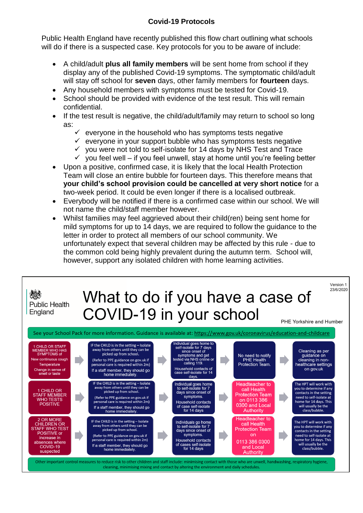### **Covid-19 Protocols**

Public Health England have recently published this flow chart outlining what schools will do if there is a suspected case. Key protocols for you to be aware of include:

- A child/adult **plus all family members** will be sent home from school if they display any of the published Covid-19 symptoms. The symptomatic child/adult will stay off school for **seven** days, other family members for **fourteen** days.
- Any household members with symptoms must be tested for Covid-19.
- School should be provided with evidence of the test result. This will remain confidential.
- If the test result is negative, the child/adult/family may return to school so long as:
	- $\checkmark$  everyone in the household who has symptoms tests negative
	- $\checkmark$  everyone in your support bubble who has symptoms tests negative
	- $\checkmark$  you were not told to self-isolate for 14 days by NHS Test and Trace
	- $\checkmark$  you feel well if you feel unwell, stay at home until you're feeling better
- Upon a positive, confirmed case, it is likely that the local Health Protection Team will close an entire bubble for fourteen days. This therefore means that **your child's school provision could be cancelled at very short notice** for a two-week period. It could be even longer if there is a localised outbreak.
- Everybody will be notified if there is a confirmed case within our school. We will not name the child/staff member however.
- Whilst families may feel aggrieved about their child(ren) being sent home for mild symptoms for up to 14 days, we are required to follow the guidance to the letter in order to protect all members of our school community. We unfortunately expect that several children may be affected by this rule - due to the common cold being highly prevalent during the autumn term. School will, however, support any isolated children with home learning activities.



cleaning, minimising mixing and contact by altering the environment and daily schedules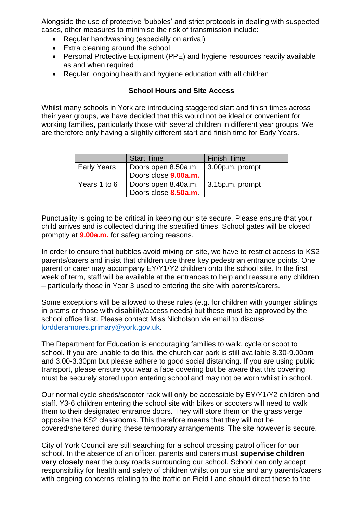Alongside the use of protective 'bubbles' and strict protocols in dealing with suspected cases, other measures to minimise the risk of transmission include:

- Regular handwashing (especially on arrival)
- Extra cleaning around the school
- Personal Protective Equipment (PPE) and hygiene resources readily available as and when required
- Regular, ongoing health and hygiene education with all children

#### **School Hours and Site Access**

Whilst many schools in York are introducing staggered start and finish times across their year groups, we have decided that this would not be ideal or convenient for working families, particularly those with several children in different year groups. We are therefore only having a slightly different start and finish time for Early Years.

|              | <b>Start Time</b>    | <b>Finish Time</b>      |
|--------------|----------------------|-------------------------|
| Early Years  | Doors open 8.50a.m   | $\vert$ 3.00p.m. prompt |
|              | Doors close 9.00a.m. |                         |
| Years 1 to 6 | Doors open 8.40a.m.  | $\vert$ 3.15p.m. prompt |
|              | Doors close 8.50a.m. |                         |

Punctuality is going to be critical in keeping our site secure. Please ensure that your child arrives and is collected during the specified times. School gates will be closed promptly at **9.00a.m.** for safeguarding reasons.

In order to ensure that bubbles avoid mixing on site, we have to restrict access to KS2 parents/carers and insist that children use three key pedestrian entrance points. One parent or carer may accompany EY/Y1/Y2 children onto the school site. In the first week of term, staff will be available at the entrances to help and reassure any children – particularly those in Year 3 used to entering the site with parents/carers.

Some exceptions will be allowed to these rules (e.g. for children with younger siblings in prams or those with disability/access needs) but these must be approved by the school office first. Please contact Miss Nicholson via email to discuss [lordderamores.primary@york.gov.uk.](mailto:lordderamores.primary@york.gov.uk)

The Department for Education is encouraging families to walk, cycle or scoot to school. If you are unable to do this, the church car park is still available 8.30-9.00am and 3.00-3.30pm but please adhere to good social distancing. If you are using public transport, please ensure you wear a face covering but be aware that this covering must be securely stored upon entering school and may not be worn whilst in school.

Our normal cycle sheds/scooter rack will only be accessible by EY/Y1/Y2 children and staff. Y3-6 children entering the school site with bikes or scooters will need to walk them to their designated entrance doors. They will store them on the grass verge opposite the KS2 classrooms. This therefore means that they will not be covered/sheltered during these temporary arrangements. The site however is secure.

City of York Council are still searching for a school crossing patrol officer for our school. In the absence of an officer, parents and carers must **supervise children very closely** near the busy roads surrounding our school. School can only accept responsibility for health and safety of children whilst on our site and any parents/carers with ongoing concerns relating to the traffic on Field Lane should direct these to the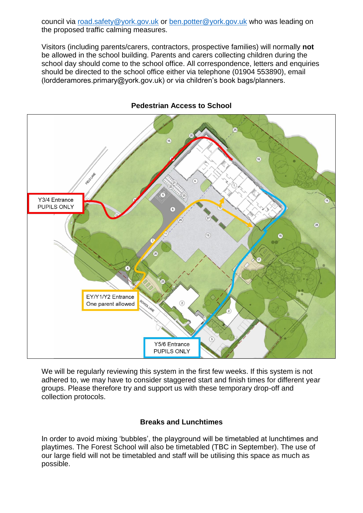council via [road.safety@york.gov.uk](mailto:road.safety@york.gov.uk) or [ben.potter@york.gov.uk](mailto:ben.potter@york.gov.uk) who was leading on the proposed traffic calming measures.

Visitors (including parents/carers, contractors, prospective families) will normally **not**  be allowed in the school building. Parents and carers collecting children during the school day should come to the school office. All correspondence, letters and enquiries should be directed to the school office either via telephone (01904 553890), email (lordderamores.primary@york.gov.uk) or via children's book bags/planners.



#### **Pedestrian Access to School**

We will be regularly reviewing this system in the first few weeks. If this system is not adhered to, we may have to consider staggered start and finish times for different year groups. Please therefore try and support us with these temporary drop-off and collection protocols.

#### **Breaks and Lunchtimes**

In order to avoid mixing 'bubbles', the playground will be timetabled at lunchtimes and playtimes. The Forest School will also be timetabled (TBC in September). The use of our large field will not be timetabled and staff will be utilising this space as much as possible.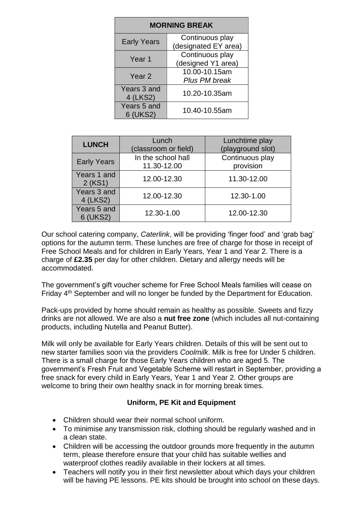| <b>MORNING BREAK</b>    |                                         |  |  |  |
|-------------------------|-----------------------------------------|--|--|--|
| <b>Early Years</b>      | Continuous play<br>(designated EY area) |  |  |  |
| Year <sub>1</sub>       | Continuous play<br>(designed Y1 area)   |  |  |  |
| Year 2                  | 10.00-10.15am<br>Plus PM break          |  |  |  |
| Years 3 and<br>4 (LKS2) | 10.20-10.35am                           |  |  |  |
| Years 5 and<br>6 (UKS2) | 10.40-10.55am                           |  |  |  |

| <b>LUNCH</b>            | Lunch<br>(classroom or field)     | Lunchtime play<br>(playground slot) |
|-------------------------|-----------------------------------|-------------------------------------|
| <b>Early Years</b>      | In the school hall<br>11.30-12.00 | Continuous play<br>provision        |
| Years 1 and<br>2 (KS1)  | 12.00-12.30                       | 11.30-12.00                         |
| Years 3 and<br>4 (LKS2) | 12.00-12.30                       | 12.30-1.00                          |
| Years 5 and<br>6 (UKS2) | 12.30-1.00                        | 12.00-12.30                         |

Our school catering company, *Caterlink*, will be providing 'finger food' and 'grab bag' options for the autumn term. These lunches are free of charge for those in receipt of Free School Meals and for children in Early Years, Year 1 and Year 2. There is a charge of **£2.35** per day for other children. Dietary and allergy needs will be accommodated.

The government's gift voucher scheme for Free School Meals families will cease on Friday 4<sup>th</sup> September and will no longer be funded by the Department for Education.

Pack-ups provided by home should remain as healthy as possible. Sweets and fizzy drinks are not allowed. We are also a **nut free zone** (which includes all nut-containing products, including Nutella and Peanut Butter).

Milk will only be available for Early Years children. Details of this will be sent out to new starter families soon via the providers *Coolmilk*. Milk is free for Under 5 children. There is a small charge for those Early Years children who are aged 5. The government's Fresh Fruit and Vegetable Scheme will restart in September, providing a free snack for every child in Early Years, Year 1 and Year 2. Other groups are welcome to bring their own healthy snack in for morning break times.

## **Uniform, PE Kit and Equipment**

- Children should wear their normal school uniform.
- To minimise any transmission risk, clothing should be regularly washed and in a clean state.
- Children will be accessing the outdoor grounds more frequently in the autumn term, please therefore ensure that your child has suitable wellies and waterproof clothes readily available in their lockers at all times.
- Teachers will notify you in their first newsletter about which days your children will be having PE lessons. PE kits should be brought into school on these days.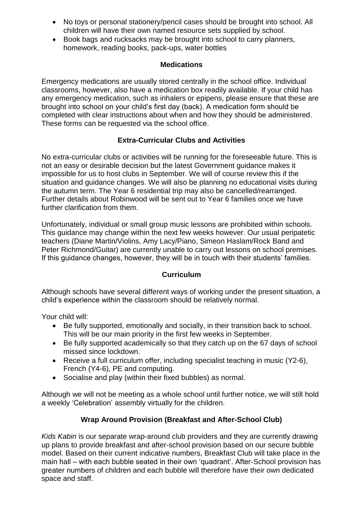- No toys or personal stationery/pencil cases should be brought into school. All children will have their own named resource sets supplied by school.
- Book bags and rucksacks may be brought into school to carry planners, homework, reading books, pack-ups, water bottles

#### **Medications**

Emergency medications are usually stored centrally in the school office. Individual classrooms, however, also have a medication box readily available. If your child has any emergency medication, such as inhalers or epipens, please ensure that these are brought into school on your child's first day (back). A medication form should be completed with clear instructions about when and how they should be administered. These forms can be requested via the school office.

### **Extra-Curricular Clubs and Activities**

No extra-curricular clubs or activities will be running for the foreseeable future. This is not an easy or desirable decision but the latest Government guidance makes it impossible for us to host clubs in September. We will of course review this if the situation and guidance changes. We will also be planning no educational visits during the autumn term. The Year 6 residential trip may also be cancelled/rearranged. Further details about Robinwood will be sent out to Year 6 families once we have further clarification from them.

Unfortunately, individual or small group music lessons are prohibited within schools. This guidance may change within the next few weeks however. Our usual peripatetic teachers (Diane Martin/Violins, Amy Lacy/Piano, Simeon Haslam/Rock Band and Peter Richmond/Guitar) are currently unable to carry out lessons on school premises. If this guidance changes, however, they will be in touch with their students' families.

### **Curriculum**

Although schools have several different ways of working under the present situation, a child's experience within the classroom should be relatively normal.

Your child will:

- Be fully supported, emotionally and socially, in their transition back to school. This will be our main priority in the first few weeks in September.
- Be fully supported academically so that they catch up on the 67 days of school missed since lockdown.
- Receive a full curriculum offer, including specialist teaching in music (Y2-6), French (Y4-6), PE and computing.
- Socialise and play (within their fixed bubbles) as normal.

Although we will not be meeting as a whole school until further notice, we will still hold a weekly 'Celebration' assembly virtually for the children.

## **Wrap Around Provision (Breakfast and After-School Club)**

*Kids Kabin* is our separate wrap-around club providers and they are currently drawing up plans to provide breakfast and after-school provision based on our secure bubble model. Based on their current indicative numbers, Breakfast Club will take place in the main hall – with each bubble seated in their own 'quadrant'. After-School provision has greater numbers of children and each bubble will therefore have their own dedicated space and staff.